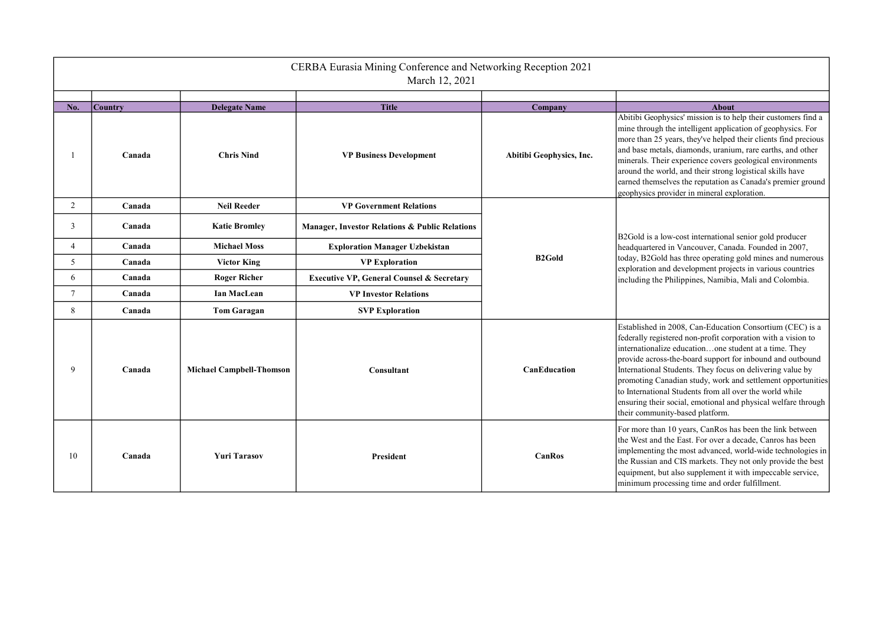| CERBA Eurasia Mining Conference and Networking Reception 2021<br>March 12, 2021 |                |                                 |                                                      |                          |                                                                                                                                                                                                                                                                                                                                                                                                                                                                                                                                           |  |  |  |
|---------------------------------------------------------------------------------|----------------|---------------------------------|------------------------------------------------------|--------------------------|-------------------------------------------------------------------------------------------------------------------------------------------------------------------------------------------------------------------------------------------------------------------------------------------------------------------------------------------------------------------------------------------------------------------------------------------------------------------------------------------------------------------------------------------|--|--|--|
| No.                                                                             | <b>Country</b> | <b>Delegate Name</b>            | <b>Title</b>                                         | Company                  | <b>About</b>                                                                                                                                                                                                                                                                                                                                                                                                                                                                                                                              |  |  |  |
|                                                                                 | Canada         | <b>Chris Nind</b>               | <b>VP Business Development</b>                       | Abitibi Geophysics, Inc. | Abitibi Geophysics' mission is to help their customers find a<br>mine through the intelligent application of geophysics. For<br>more than 25 years, they've helped their clients find precious<br>and base metals, diamonds, uranium, rare earths, and other<br>minerals. Their experience covers geological environments<br>around the world, and their strong logistical skills have<br>earned themselves the reputation as Canada's premier ground<br>geophysics provider in mineral exploration.                                      |  |  |  |
| 2                                                                               | Canada         | <b>Neil Reeder</b>              | <b>VP Government Relations</b>                       |                          |                                                                                                                                                                                                                                                                                                                                                                                                                                                                                                                                           |  |  |  |
| 3                                                                               | Canada         | <b>Katie Bromley</b>            | Manager, Investor Relations & Public Relations       |                          | B2Gold is a low-cost international senior gold producer                                                                                                                                                                                                                                                                                                                                                                                                                                                                                   |  |  |  |
| 4                                                                               | Canada         | <b>Michael Moss</b>             | <b>Exploration Manager Uzbekistan</b>                |                          | headquartered in Vancouver, Canada. Founded in 2007,<br>today, B2Gold has three operating gold mines and numerous<br>exploration and development projects in various countries<br>including the Philippines, Namibia, Mali and Colombia.                                                                                                                                                                                                                                                                                                  |  |  |  |
| 5                                                                               | Canada         | <b>Victor King</b>              | <b>VP Exploration</b>                                | <b>B2Gold</b>            |                                                                                                                                                                                                                                                                                                                                                                                                                                                                                                                                           |  |  |  |
| 6                                                                               | Canada         | <b>Roger Richer</b>             | <b>Executive VP, General Counsel &amp; Secretary</b> |                          |                                                                                                                                                                                                                                                                                                                                                                                                                                                                                                                                           |  |  |  |
| $\tau$                                                                          | Canada         | Ian MacLean                     | <b>VP Investor Relations</b>                         |                          |                                                                                                                                                                                                                                                                                                                                                                                                                                                                                                                                           |  |  |  |
| 8                                                                               | Canada         | <b>Tom Garagan</b>              | <b>SVP Exploration</b>                               |                          |                                                                                                                                                                                                                                                                                                                                                                                                                                                                                                                                           |  |  |  |
| 9                                                                               | Canada         | <b>Michael Campbell-Thomson</b> | <b>Consultant</b>                                    | <b>CanEducation</b>      | Established in 2008, Can-Education Consortium (CEC) is a<br>federally registered non-profit corporation with a vision to<br>internationalize educationone student at a time. They<br>provide across-the-board support for inbound and outbound<br>International Students. They focus on delivering value by<br>promoting Canadian study, work and settlement opportunities<br>to International Students from all over the world while<br>ensuring their social, emotional and physical welfare through<br>their community-based platform. |  |  |  |
| 10                                                                              | Canada         | <b>Yuri Tarasov</b>             | President                                            | <b>CanRos</b>            | For more than 10 years, CanRos has been the link between<br>the West and the East. For over a decade, Canros has been<br>implementing the most advanced, world-wide technologies in<br>the Russian and CIS markets. They not only provide the best<br>equipment, but also supplement it with impeccable service,<br>minimum processing time and order fulfillment.                                                                                                                                                                        |  |  |  |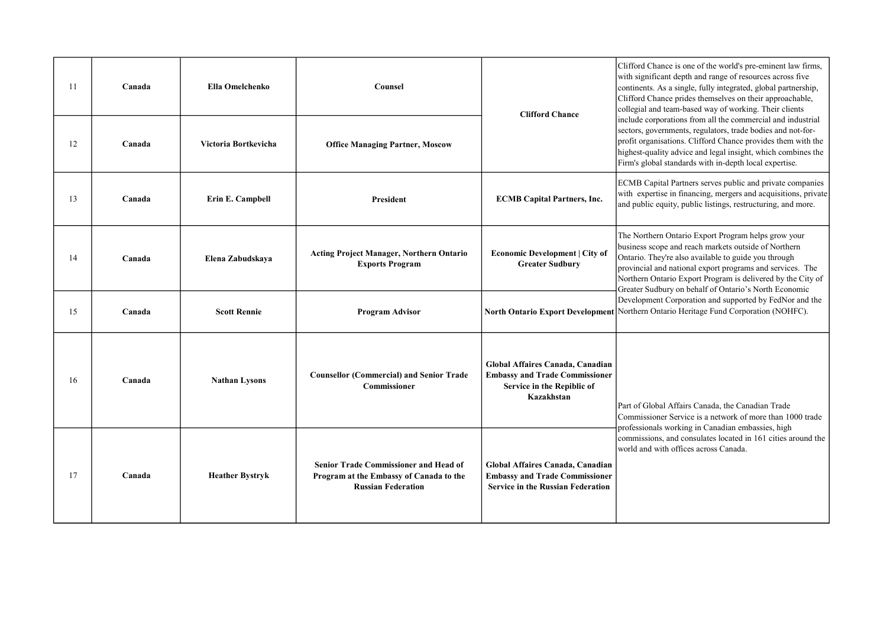| 11 | Canada | Ella Omelchenko        | <b>Counsel</b>                                                                                                       | <b>Clifford Chance</b>                                                                                                | Clifford Chance is one of the world's pre-eminent law firms,<br>with significant depth and range of resources across five<br>continents. As a single, fully integrated, global partnership,<br>Clifford Chance prides themselves on their approachable,<br>collegial and team-based way of working. Their clients                                                                                                                                                                                           |
|----|--------|------------------------|----------------------------------------------------------------------------------------------------------------------|-----------------------------------------------------------------------------------------------------------------------|-------------------------------------------------------------------------------------------------------------------------------------------------------------------------------------------------------------------------------------------------------------------------------------------------------------------------------------------------------------------------------------------------------------------------------------------------------------------------------------------------------------|
| 12 | Canada | Victoria Bortkevicha   | <b>Office Managing Partner, Moscow</b>                                                                               |                                                                                                                       | include corporations from all the commercial and industrial<br>sectors, governments, regulators, trade bodies and not-for-<br>profit organisations. Clifford Chance provides them with the<br>highest-quality advice and legal insight, which combines the<br>Firm's global standards with in-depth local expertise.                                                                                                                                                                                        |
| 13 | Canada | Erin E. Campbell       | President                                                                                                            | <b>ECMB Capital Partners, Inc.</b>                                                                                    | ECMB Capital Partners serves public and private companies<br>with expertise in financing, mergers and acquisitions, private<br>and public equity, public listings, restructuring, and more.                                                                                                                                                                                                                                                                                                                 |
| 14 | Canada | Elena Zabudskaya       | <b>Acting Project Manager, Northern Ontario</b><br><b>Exports Program</b>                                            | Economic Development   City of<br><b>Greater Sudbury</b>                                                              | The Northern Ontario Export Program helps grow your<br>business scope and reach markets outside of Northern<br>Ontario. They're also available to guide you through<br>provincial and national export programs and services. The<br>Northern Ontario Export Program is delivered by the City of<br>Greater Sudbury on behalf of Ontario's North Economic<br>Development Corporation and supported by FedNor and the<br>North Ontario Export Development Northern Ontario Heritage Fund Corporation (NOHFC). |
| 15 | Canada | <b>Scott Rennie</b>    | <b>Program Advisor</b>                                                                                               |                                                                                                                       |                                                                                                                                                                                                                                                                                                                                                                                                                                                                                                             |
| 16 | Canada | <b>Nathan Lysons</b>   | <b>Counsellor (Commercial) and Senior Trade</b><br><b>Commissioner</b>                                               | Global Affaires Canada, Canadian<br><b>Embassy and Trade Commissioner</b><br>Service in the Repiblic of<br>Kazakhstan | Part of Global Affairs Canada, the Canadian Trade<br>Commissioner Service is a network of more than 1000 trade<br>professionals working in Canadian embassies, high<br>commissions, and consulates located in 161 cities around the<br>world and with offices across Canada.                                                                                                                                                                                                                                |
| 17 | Canada | <b>Heather Bystryk</b> | <b>Senior Trade Commissioner and Head of</b><br>Program at the Embassy of Canada to the<br><b>Russian Federation</b> | Global Affaires Canada, Canadian<br><b>Embassy and Trade Commissioner</b><br><b>Service in the Russian Federation</b> |                                                                                                                                                                                                                                                                                                                                                                                                                                                                                                             |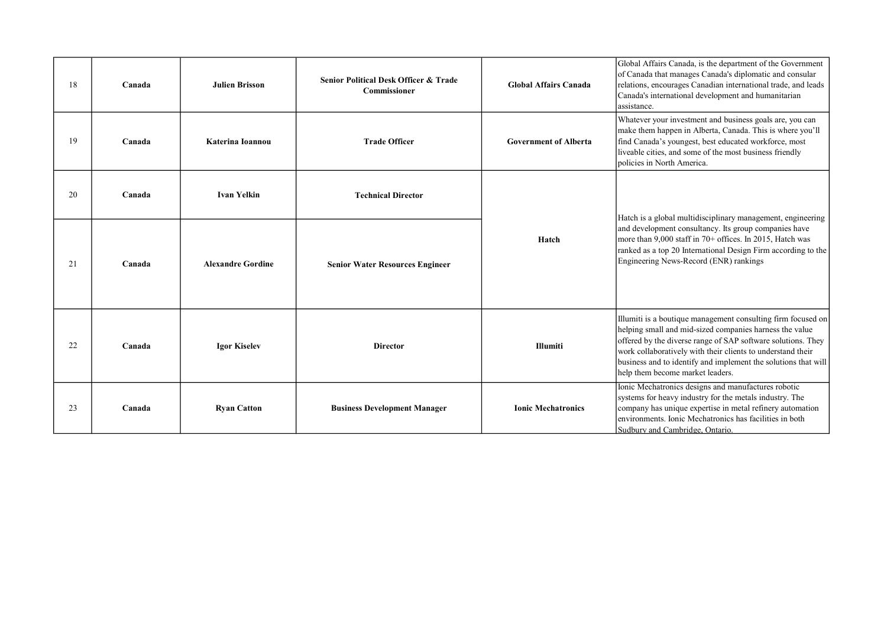| 18 | Canada | <b>Julien Brisson</b>    | <b>Senior Political Desk Officer &amp; Trade</b><br>Commissioner | <b>Global Affairs Canada</b> | Global Affairs Canada, is the department of the Government<br>of Canada that manages Canada's diplomatic and consular<br>relations, encourages Canadian international trade, and leads<br>Canada's international development and humanitarian<br>assistance.                                                                                                 |
|----|--------|--------------------------|------------------------------------------------------------------|------------------------------|--------------------------------------------------------------------------------------------------------------------------------------------------------------------------------------------------------------------------------------------------------------------------------------------------------------------------------------------------------------|
| 19 | Canada | Katerina Ioannou         | <b>Trade Officer</b>                                             | <b>Government of Alberta</b> | Whatever your investment and business goals are, you can<br>make them happen in Alberta, Canada. This is where you'll<br>find Canada's youngest, best educated workforce, most<br>liveable cities, and some of the most business friendly<br>policies in North America.                                                                                      |
| 20 | Canada | <b>Ivan Yelkin</b>       | <b>Technical Director</b>                                        | Hatch                        | Hatch is a global multidisciplinary management, engineering                                                                                                                                                                                                                                                                                                  |
| 21 | Canada | <b>Alexandre Gordine</b> | <b>Senior Water Resources Engineer</b>                           |                              | and development consultancy. Its group companies have<br>more than 9,000 staff in 70+ offices. In 2015, Hatch was<br>ranked as a top 20 International Design Firm according to the<br>Engineering News-Record (ENR) rankings                                                                                                                                 |
| 22 | Canada | <b>Igor Kiselev</b>      | <b>Director</b>                                                  | <b>Illumiti</b>              | Illumiti is a boutique management consulting firm focused on<br>helping small and mid-sized companies harness the value<br>offered by the diverse range of SAP software solutions. They<br>work collaboratively with their clients to understand their<br>business and to identify and implement the solutions that will<br>help them become market leaders. |
| 23 | Canada | <b>Ryan Catton</b>       | <b>Business Development Manager</b>                              | <b>Ionic Mechatronics</b>    | Ionic Mechatronics designs and manufactures robotic<br>systems for heavy industry for the metals industry. The<br>company has unique expertise in metal refinery automation<br>environments. Ionic Mechatronics has facilities in both<br>Sudbury and Cambridge, Ontario.                                                                                    |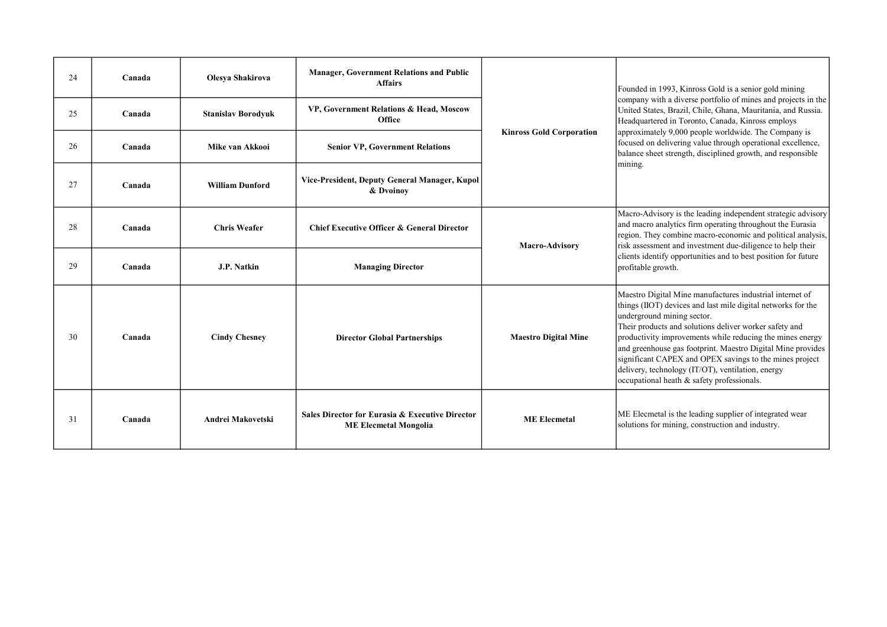| 24 | Canada | Olesya Shakirova          | <b>Manager, Government Relations and Public</b><br><b>Affairs</b>               |                                 | Founded in 1993, Kinross Gold is a senior gold mining                                                                                                                                                                                                                                                                                                                                                                                                                                                      |
|----|--------|---------------------------|---------------------------------------------------------------------------------|---------------------------------|------------------------------------------------------------------------------------------------------------------------------------------------------------------------------------------------------------------------------------------------------------------------------------------------------------------------------------------------------------------------------------------------------------------------------------------------------------------------------------------------------------|
| 25 | Canada | <b>Stanislav Borodyuk</b> | VP, Government Relations & Head, Moscow<br>Office                               |                                 | company with a diverse portfolio of mines and projects in the<br>United States, Brazil, Chile, Ghana, Mauritania, and Russia.<br>Headquartered in Toronto, Canada, Kinross employs                                                                                                                                                                                                                                                                                                                         |
| 26 | Canada | Mike van Akkooi           | <b>Senior VP, Government Relations</b>                                          | <b>Kinross Gold Corporation</b> | approximately 9,000 people worldwide. The Company is<br>focused on delivering value through operational excellence,<br>balance sheet strength, disciplined growth, and responsible<br>mining.                                                                                                                                                                                                                                                                                                              |
| 27 | Canada | <b>William Dunford</b>    | Vice-President, Deputy General Manager, Kupol<br>& Dvoinov                      |                                 |                                                                                                                                                                                                                                                                                                                                                                                                                                                                                                            |
| 28 | Canada | <b>Chris Weafer</b>       | <b>Chief Executive Officer &amp; General Director</b>                           | <b>Macro-Advisory</b>           | Macro-Advisory is the leading independent strategic advisory<br>and macro analytics firm operating throughout the Eurasia<br>region. They combine macro-economic and political analysis,<br>risk assessment and investment due-diligence to help their                                                                                                                                                                                                                                                     |
| 29 | Canada | J.P. Natkin               | <b>Managing Director</b>                                                        |                                 | clients identify opportunities and to best position for future<br>profitable growth.                                                                                                                                                                                                                                                                                                                                                                                                                       |
| 30 | Canada | <b>Cindy Chesney</b>      | <b>Director Global Partnerships</b>                                             | <b>Maestro Digital Mine</b>     | Maestro Digital Mine manufactures industrial internet of<br>things (IIOT) devices and last mile digital networks for the<br>underground mining sector.<br>Their products and solutions deliver worker safety and<br>productivity improvements while reducing the mines energy<br>and greenhouse gas footprint. Maestro Digital Mine provides<br>significant CAPEX and OPEX savings to the mines project<br>delivery, technology (IT/OT), ventilation, energy<br>occupational heath & safety professionals. |
| 31 | Canada | Andrei Makovetski         | Sales Director for Eurasia & Executive Director<br><b>ME Elecmetal Mongolia</b> | <b>ME</b> Elecmetal             | ME Elecmetal is the leading supplier of integrated wear<br>solutions for mining, construction and industry.                                                                                                                                                                                                                                                                                                                                                                                                |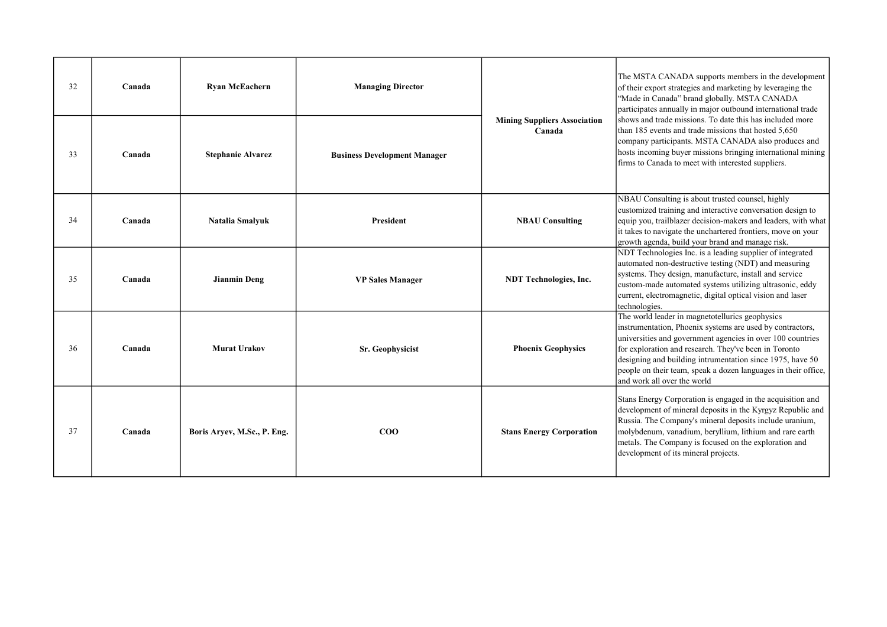| 32 | Canada | <b>Ryan McEachern</b>       | <b>Managing Director</b>            |                                               | The MSTA CANADA supports members in the development<br>of their export strategies and marketing by leveraging the<br>"Made in Canada" brand globally. MSTA CANADA<br>participates annually in major outbound international trade                                                                                                                                                                  |
|----|--------|-----------------------------|-------------------------------------|-----------------------------------------------|---------------------------------------------------------------------------------------------------------------------------------------------------------------------------------------------------------------------------------------------------------------------------------------------------------------------------------------------------------------------------------------------------|
| 33 | Canada | <b>Stephanie Alvarez</b>    | <b>Business Development Manager</b> | <b>Mining Suppliers Association</b><br>Canada | shows and trade missions. To date this has included more<br>than 185 events and trade missions that hosted 5,650<br>company participants. MSTA CANADA also produces and<br>hosts incoming buyer missions bringing international mining<br>firms to Canada to meet with interested suppliers.                                                                                                      |
| 34 | Canada | Natalia Smalyuk             | President                           | <b>NBAU Consulting</b>                        | NBAU Consulting is about trusted counsel, highly<br>customized training and interactive conversation design to<br>equip you, trailblazer decision-makers and leaders, with what<br>it takes to navigate the unchartered frontiers, move on your<br>growth agenda, build your brand and manage risk.                                                                                               |
| 35 | Canada | <b>Jianmin Deng</b>         | <b>VP Sales Manager</b>             | <b>NDT</b> Technologies, Inc.                 | NDT Technologies Inc. is a leading supplier of integrated<br>automated non-destructive testing (NDT) and measuring<br>systems. They design, manufacture, install and service<br>custom-made automated systems utilizing ultrasonic, eddy<br>current, electromagnetic, digital optical vision and laser<br>technologies.                                                                           |
| 36 | Canada | <b>Murat Urakov</b>         | Sr. Geophysicist                    | <b>Phoenix Geophysics</b>                     | The world leader in magnetotellurics geophysics<br>instrumentation, Phoenix systems are used by contractors,<br>universities and government agencies in over 100 countries<br>for exploration and research. They've been in Toronto<br>designing and building intrumentation since 1975, have 50<br>people on their team, speak a dozen languages in their office,<br>and work all over the world |
| 37 | Canada | Boris Aryev, M.Sc., P. Eng. | $\rm{COO}$                          | <b>Stans Energy Corporation</b>               | Stans Energy Corporation is engaged in the acquisition and<br>development of mineral deposits in the Kyrgyz Republic and<br>Russia. The Company's mineral deposits include uranium,<br>molybdenum, vanadium, beryllium, lithium and rare earth<br>metals. The Company is focused on the exploration and<br>development of its mineral projects.                                                   |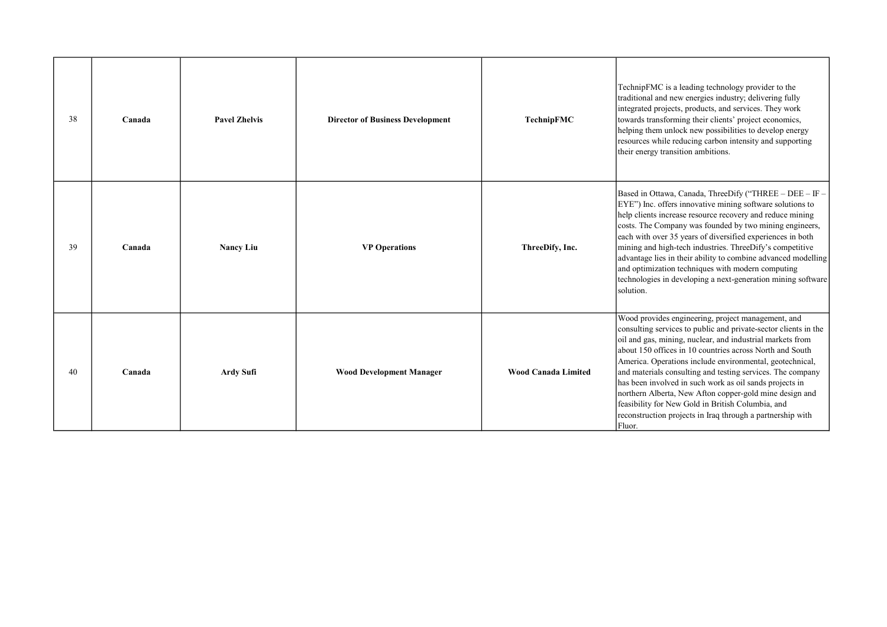| 38 | Canada | <b>Pavel Zhelvis</b> | <b>Director of Business Development</b> | TechnipFMC                 | TechnipFMC is a leading technology provider to the<br>traditional and new energies industry; delivering fully<br>integrated projects, products, and services. They work<br>towards transforming their clients' project economics,<br>helping them unlock new possibilities to develop energy<br>resources while reducing carbon intensity and supporting<br>their energy transition ambitions.                                                                                                                                                                                                                              |
|----|--------|----------------------|-----------------------------------------|----------------------------|-----------------------------------------------------------------------------------------------------------------------------------------------------------------------------------------------------------------------------------------------------------------------------------------------------------------------------------------------------------------------------------------------------------------------------------------------------------------------------------------------------------------------------------------------------------------------------------------------------------------------------|
| 39 | Canada | <b>Nancy Liu</b>     | <b>VP Operations</b>                    | ThreeDify, Inc.            | Based in Ottawa, Canada, ThreeDify ("THREE - DEE - IF -<br>EYE") Inc. offers innovative mining software solutions to<br>help clients increase resource recovery and reduce mining<br>costs. The Company was founded by two mining engineers,<br>each with over 35 years of diversified experiences in both<br>mining and high-tech industries. ThreeDify's competitive<br>advantage lies in their ability to combine advanced modelling<br>and optimization techniques with modern computing<br>technologies in developing a next-generation mining software<br>solution.                                                   |
| 40 | Canada | Ardy Sufi            | <b>Wood Development Manager</b>         | <b>Wood Canada Limited</b> | Wood provides engineering, project management, and<br>consulting services to public and private-sector clients in the<br>oil and gas, mining, nuclear, and industrial markets from<br>about 150 offices in 10 countries across North and South<br>America. Operations include environmental, geotechnical,<br>and materials consulting and testing services. The company<br>has been involved in such work as oil sands projects in<br>northern Alberta, New Afton copper-gold mine design and<br>feasibility for New Gold in British Columbia, and<br>reconstruction projects in Iraq through a partnership with<br>Fluor. |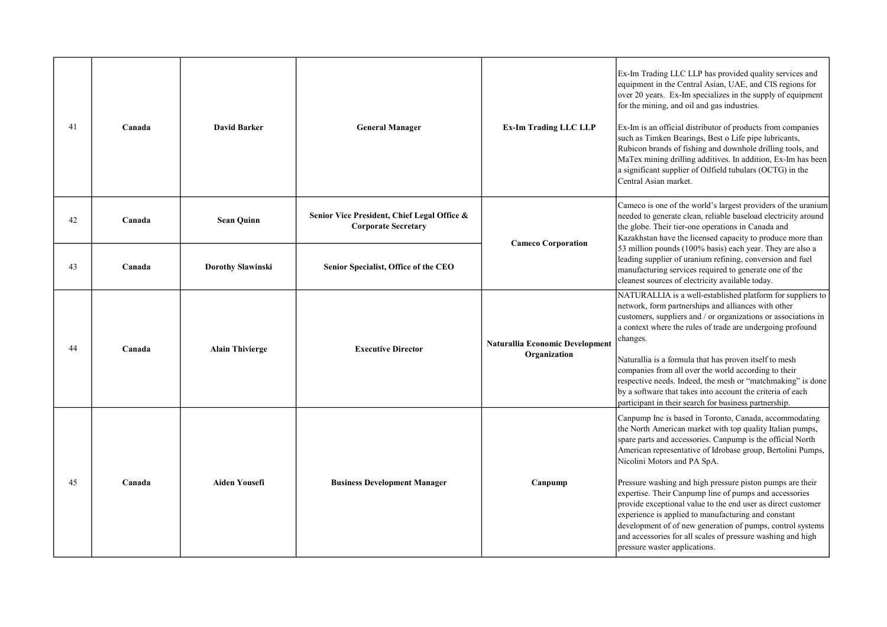| 41 | Canada | <b>David Barker</b>      | <b>General Manager</b>                                                    | <b>Ex-Im Trading LLC LLP</b>                           | Ex-Im Trading LLC LLP has provided quality services and<br>equipment in the Central Asian, UAE, and CIS regions for<br>over 20 years. Ex-Im specializes in the supply of equipment<br>for the mining, and oil and gas industries.<br>Ex-Im is an official distributor of products from companies<br>such as Timken Bearings, Best o Life pipe lubricants,<br>Rubicon brands of fishing and downhole drilling tools, and<br>MaTex mining drilling additives. In addition, Ex-Im has been<br>a significant supplier of Oilfield tubulars (OCTG) in the<br>Central Asian market.                                                                                                               |
|----|--------|--------------------------|---------------------------------------------------------------------------|--------------------------------------------------------|---------------------------------------------------------------------------------------------------------------------------------------------------------------------------------------------------------------------------------------------------------------------------------------------------------------------------------------------------------------------------------------------------------------------------------------------------------------------------------------------------------------------------------------------------------------------------------------------------------------------------------------------------------------------------------------------|
| 42 | Canada | <b>Sean Quinn</b>        | Senior Vice President, Chief Legal Office &<br><b>Corporate Secretary</b> | <b>Cameco Corporation</b>                              | Cameco is one of the world's largest providers of the uranium<br>needed to generate clean, reliable baseload electricity around<br>the globe. Their tier-one operations in Canada and<br>Kazakhstan have the licensed capacity to produce more than                                                                                                                                                                                                                                                                                                                                                                                                                                         |
| 43 | Canada | <b>Dorothy Slawinski</b> | Senior Specialist, Office of the CEO                                      |                                                        | 53 million pounds (100% basis) each year. They are also a<br>leading supplier of uranium refining, conversion and fuel<br>manufacturing services required to generate one of the<br>cleanest sources of electricity available today.                                                                                                                                                                                                                                                                                                                                                                                                                                                        |
| 44 | Canada | <b>Alain Thivierge</b>   | <b>Executive Director</b>                                                 | <b>Naturallia Economic Development</b><br>Organization | NATURALLIA is a well-established platform for suppliers to<br>network, form partnerships and alliances with other<br>customers, suppliers and / or organizations or associations in<br>a context where the rules of trade are undergoing profound<br>changes.<br>Naturallia is a formula that has proven itself to mesh<br>companies from all over the world according to their<br>respective needs. Indeed, the mesh or "matchmaking" is done<br>by a software that takes into account the criteria of each<br>participant in their search for business partnership.                                                                                                                       |
| 45 | Canada | <b>Aiden Yousefi</b>     | <b>Business Development Manager</b>                                       | Canpump                                                | Canpump Inc is based in Toronto, Canada, accommodating<br>the North American market with top quality Italian pumps,<br>spare parts and accessories. Canpump is the official North<br>American representative of Idrobase group, Bertolini Pumps,<br>Nicolini Motors and PA SpA.<br>Pressure washing and high pressure piston pumps are their<br>expertise. Their Canpump line of pumps and accessories<br>provide exceptional value to the end user as direct customer<br>experience is applied to manufacturing and constant<br>development of of new generation of pumps, control systems<br>and accessories for all scales of pressure washing and high<br>pressure waster applications. |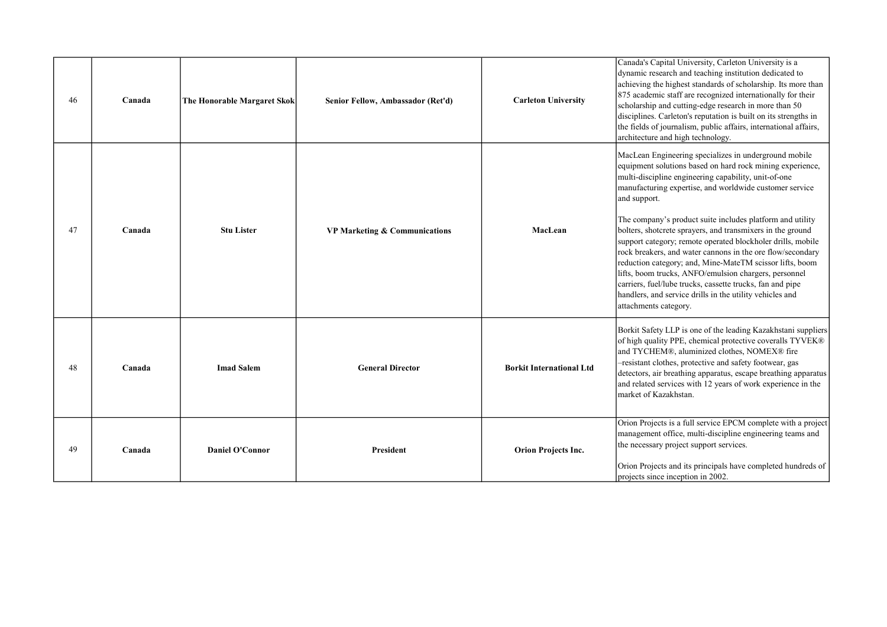| 46 | Canada | The Honorable Margaret Skok | Senior Fellow, Ambassador (Ret'd) | <b>Carleton University</b>      | Canada's Capital University, Carleton University is a<br>dynamic research and teaching institution dedicated to<br>achieving the highest standards of scholarship. Its more than<br>875 academic staff are recognized internationally for their<br>scholarship and cutting-edge research in more than 50<br>disciplines. Carleton's reputation is built on its strengths in<br>the fields of journalism, public affairs, international affairs,<br>architecture and high technology.                                                                                                                                                                                                                                                                                                 |
|----|--------|-----------------------------|-----------------------------------|---------------------------------|--------------------------------------------------------------------------------------------------------------------------------------------------------------------------------------------------------------------------------------------------------------------------------------------------------------------------------------------------------------------------------------------------------------------------------------------------------------------------------------------------------------------------------------------------------------------------------------------------------------------------------------------------------------------------------------------------------------------------------------------------------------------------------------|
| 47 | Canada | <b>Stu Lister</b>           | VP Marketing & Communications     | MacLean                         | MacLean Engineering specializes in underground mobile<br>equipment solutions based on hard rock mining experience,<br>multi-discipline engineering capability, unit-of-one<br>manufacturing expertise, and worldwide customer service<br>and support.<br>The company's product suite includes platform and utility<br>bolters, shotcrete sprayers, and transmixers in the ground<br>support category; remote operated blockholer drills, mobile<br>rock breakers, and water cannons in the ore flow/secondary<br>reduction category; and, Mine-MateTM scissor lifts, boom<br>lifts, boom trucks, ANFO/emulsion chargers, personnel<br>carriers, fuel/lube trucks, cassette trucks, fan and pipe<br>handlers, and service drills in the utility vehicles and<br>attachments category. |
| 48 | Canada | <b>Imad Salem</b>           | <b>General Director</b>           | <b>Borkit International Ltd</b> | Borkit Safety LLP is one of the leading Kazakhstani suppliers<br>of high quality PPE, chemical protective coveralls TYVEK®<br>and TYCHEM®, aluminized clothes, NOMEX® fire<br>-resistant clothes, protective and safety footwear, gas<br>detectors, air breathing apparatus, escape breathing apparatus<br>and related services with 12 years of work experience in the<br>market of Kazakhstan.                                                                                                                                                                                                                                                                                                                                                                                     |
| 49 | Canada | <b>Daniel O'Connor</b>      | President                         | <b>Orion Projects Inc.</b>      | Orion Projects is a full service EPCM complete with a project<br>management office, multi-discipline engineering teams and<br>the necessary project support services.<br>Orion Projects and its principals have completed hundreds of<br>projects since inception in 2002.                                                                                                                                                                                                                                                                                                                                                                                                                                                                                                           |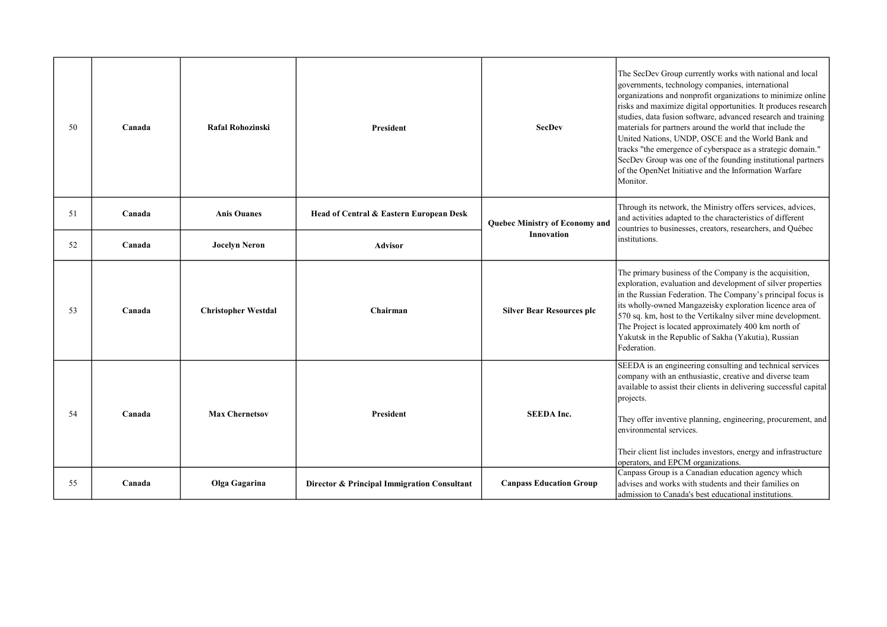| 50 | Canada | Rafal Rohozinski           | <b>President</b>                            | <b>SecDev</b>                    | The SecDev Group currently works with national and local<br>governments, technology companies, international<br>organizations and nonprofit organizations to minimize online<br>risks and maximize digital opportunities. It produces research<br>studies, data fusion software, advanced research and training<br>materials for partners around the world that include the<br>United Nations, UNDP, OSCE and the World Bank and<br>tracks "the emergence of cyberspace as a strategic domain."<br>SecDev Group was one of the founding institutional partners<br>of the OpenNet Initiative and the Information Warfare<br>Monitor. |
|----|--------|----------------------------|---------------------------------------------|----------------------------------|-------------------------------------------------------------------------------------------------------------------------------------------------------------------------------------------------------------------------------------------------------------------------------------------------------------------------------------------------------------------------------------------------------------------------------------------------------------------------------------------------------------------------------------------------------------------------------------------------------------------------------------|
| 51 | Canada | <b>Anis Ouanes</b>         | Head of Central & Eastern European Desk     | Quebec Ministry of Economy and   | Through its network, the Ministry offers services, advices,<br>and activities adapted to the characteristics of different<br>countries to businesses, creators, researchers, and Québec                                                                                                                                                                                                                                                                                                                                                                                                                                             |
| 52 | Canada | <b>Jocelyn Neron</b>       | <b>Advisor</b>                              | <b>Innovation</b>                | institutions.                                                                                                                                                                                                                                                                                                                                                                                                                                                                                                                                                                                                                       |
| 53 | Canada | <b>Christopher Westdal</b> | Chairman                                    | <b>Silver Bear Resources plc</b> | The primary business of the Company is the acquisition,<br>exploration, evaluation and development of silver properties<br>in the Russian Federation. The Company's principal focus is<br>its wholly-owned Mangazeisky exploration licence area of<br>570 sq. km, host to the Vertikalny silver mine development.<br>The Project is located approximately 400 km north of<br>Yakutsk in the Republic of Sakha (Yakutia), Russian<br>Federation.                                                                                                                                                                                     |
| 54 | Canada | <b>Max Chernetsov</b>      | <b>President</b>                            | <b>SEEDA Inc.</b>                | SEEDA is an engineering consulting and technical services<br>company with an enthusiastic, creative and diverse team<br>available to assist their clients in delivering successful capital<br>projects.<br>They offer inventive planning, engineering, procurement, and<br>environmental services.<br>Their client list includes investors, energy and infrastructure<br>operators, and EPCM organizations.                                                                                                                                                                                                                         |
| 55 | Canada | Olga Gagarina              | Director & Principal Immigration Consultant | <b>Canpass Education Group</b>   | Canpass Group is a Canadian education agency which<br>advises and works with students and their families on<br>admission to Canada's best educational institutions.                                                                                                                                                                                                                                                                                                                                                                                                                                                                 |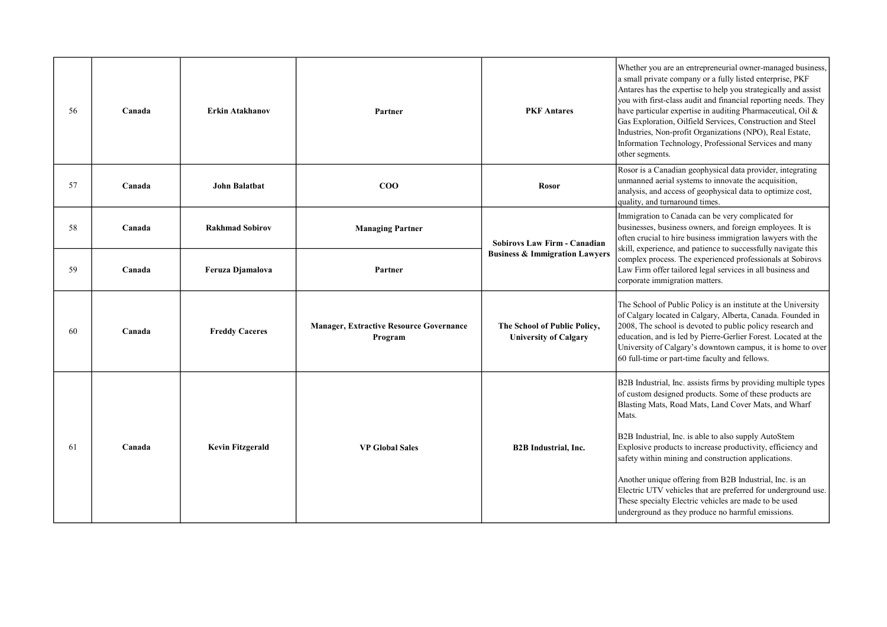| 56  | Canada | <b>Erkin Atakhanov</b>  | Partner                                                   | <b>PKF</b> Antares                                           | Whether you are an entrepreneurial owner-managed business,<br>a small private company or a fully listed enterprise, PKF<br>Antares has the expertise to help you strategically and assist<br>you with first-class audit and financial reporting needs. They<br>have particular expertise in auditing Pharmaceutical, Oil &<br>Gas Exploration, Oilfield Services, Construction and Steel<br>Industries, Non-profit Organizations (NPO), Real Estate,<br>Information Technology, Professional Services and many<br>other segments. |
|-----|--------|-------------------------|-----------------------------------------------------------|--------------------------------------------------------------|-----------------------------------------------------------------------------------------------------------------------------------------------------------------------------------------------------------------------------------------------------------------------------------------------------------------------------------------------------------------------------------------------------------------------------------------------------------------------------------------------------------------------------------|
| 57  | Canada | <b>John Balatbat</b>    | $\bf{COO}$                                                | <b>Rosor</b>                                                 | Rosor is a Canadian geophysical data provider, integrating<br>unmanned aerial systems to innovate the acquisition,<br>analysis, and access of geophysical data to optimize cost,<br>quality, and turnaround times.                                                                                                                                                                                                                                                                                                                |
| 58  | Canada | <b>Rakhmad Sobirov</b>  | <b>Managing Partner</b>                                   | <b>Sobirovs Law Firm - Canadian</b>                          | Immigration to Canada can be very complicated for<br>businesses, business owners, and foreign employees. It is<br>often crucial to hire business immigration lawyers with the                                                                                                                                                                                                                                                                                                                                                     |
| 59  | Canada | Feruza Djamalova        | Partner                                                   | <b>Business &amp; Immigration Lawyers</b>                    | skill, experience, and patience to successfully navigate this<br>complex process. The experienced professionals at Sobirovs<br>Law Firm offer tailored legal services in all business and<br>corporate immigration matters.                                                                                                                                                                                                                                                                                                       |
| -60 | Canada | <b>Freddy Caceres</b>   | <b>Manager, Extractive Resource Governance</b><br>Program | The School of Public Policy,<br><b>University of Calgary</b> | The School of Public Policy is an institute at the University<br>of Calgary located in Calgary, Alberta, Canada. Founded in<br>2008, The school is devoted to public policy research and<br>education, and is led by Pierre-Gerlier Forest. Located at the<br>University of Calgary's downtown campus, it is home to over<br>60 full-time or part-time faculty and fellows.                                                                                                                                                       |
|     |        |                         |                                                           |                                                              | B2B Industrial, Inc. assists firms by providing multiple types<br>of custom designed products. Some of these products are<br>Blasting Mats, Road Mats, Land Cover Mats, and Wharf<br>Mats.                                                                                                                                                                                                                                                                                                                                        |
| 61  | Canada | <b>Kevin Fitzgerald</b> | <b>VP Global Sales</b>                                    | <b>B2B</b> Industrial, Inc.                                  | B2B Industrial, Inc. is able to also supply AutoStem<br>Explosive products to increase productivity, efficiency and<br>safety within mining and construction applications.                                                                                                                                                                                                                                                                                                                                                        |
|     |        |                         |                                                           |                                                              | Another unique offering from B2B Industrial, Inc. is an<br>Electric UTV vehicles that are preferred for underground use.<br>These specialty Electric vehicles are made to be used<br>underground as they produce no harmful emissions.                                                                                                                                                                                                                                                                                            |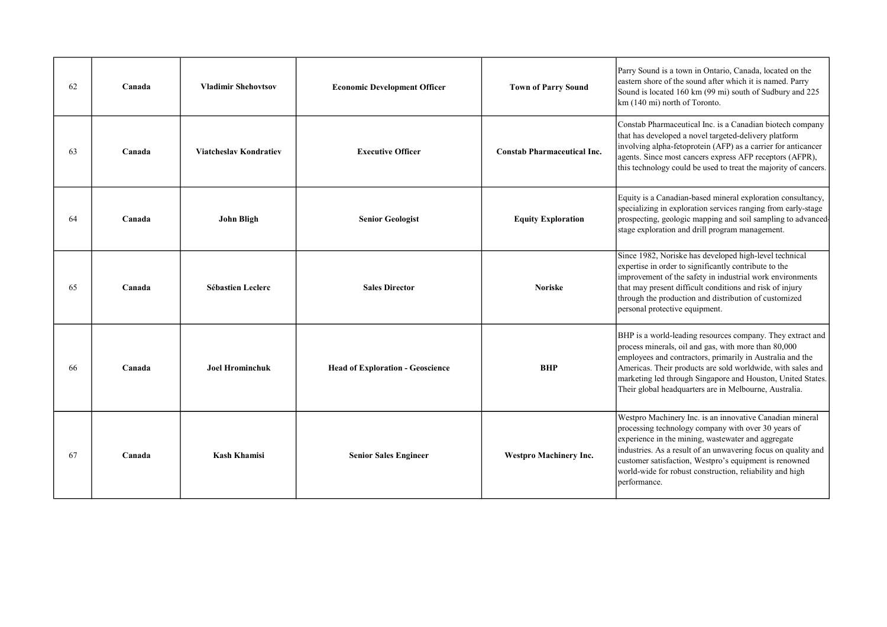| 62 | Canada | <b>Vladimir Shehovtsov</b>    | <b>Economic Development Officer</b>     | <b>Town of Parry Sound</b>         | Parry Sound is a town in Ontario, Canada, located on the<br>eastern shore of the sound after which it is named. Parry<br>Sound is located 160 km (99 mi) south of Sudbury and 225<br>km (140 mi) north of Toronto.                                                                                                                                                           |
|----|--------|-------------------------------|-----------------------------------------|------------------------------------|------------------------------------------------------------------------------------------------------------------------------------------------------------------------------------------------------------------------------------------------------------------------------------------------------------------------------------------------------------------------------|
| 63 | Canada | <b>Viatcheslav Kondratiev</b> | <b>Executive Officer</b>                | <b>Constab Pharmaceutical Inc.</b> | Constab Pharmaceutical Inc. is a Canadian biotech company<br>that has developed a novel targeted-delivery platform<br>involving alpha-fetoprotein (AFP) as a carrier for anticancer<br>agents. Since most cancers express AFP receptors (AFPR),<br>this technology could be used to treat the majority of cancers.                                                           |
| 64 | Canada | John Bligh                    | <b>Senior Geologist</b>                 | <b>Equity Exploration</b>          | Equity is a Canadian-based mineral exploration consultancy,<br>specializing in exploration services ranging from early-stage<br>prospecting, geologic mapping and soil sampling to advanced-<br>stage exploration and drill program management.                                                                                                                              |
| 65 | Canada | <b>Sébastien Leclerc</b>      | <b>Sales Director</b>                   | <b>Noriske</b>                     | Since 1982, Noriske has developed high-level technical<br>expertise in order to significantly contribute to the<br>improvement of the safety in industrial work environments<br>that may present difficult conditions and risk of injury<br>through the production and distribution of customized<br>personal protective equipment.                                          |
| 66 | Canada | <b>Joel Hrominchuk</b>        | <b>Head of Exploration - Geoscience</b> | <b>BHP</b>                         | BHP is a world-leading resources company. They extract and<br>process minerals, oil and gas, with more than 80,000<br>employees and contractors, primarily in Australia and the<br>Americas. Their products are sold worldwide, with sales and<br>marketing led through Singapore and Houston, United States.<br>Their global headquarters are in Melbourne, Australia.      |
| 67 | Canada | <b>Kash Khamisi</b>           | <b>Senior Sales Engineer</b>            | <b>Westpro Machinery Inc.</b>      | Westpro Machinery Inc. is an innovative Canadian mineral<br>processing technology company with over 30 years of<br>experience in the mining, wastewater and aggregate<br>industries. As a result of an unwavering focus on quality and<br>customer satisfaction, Westpro's equipment is renowned<br>world-wide for robust construction, reliability and high<br>performance. |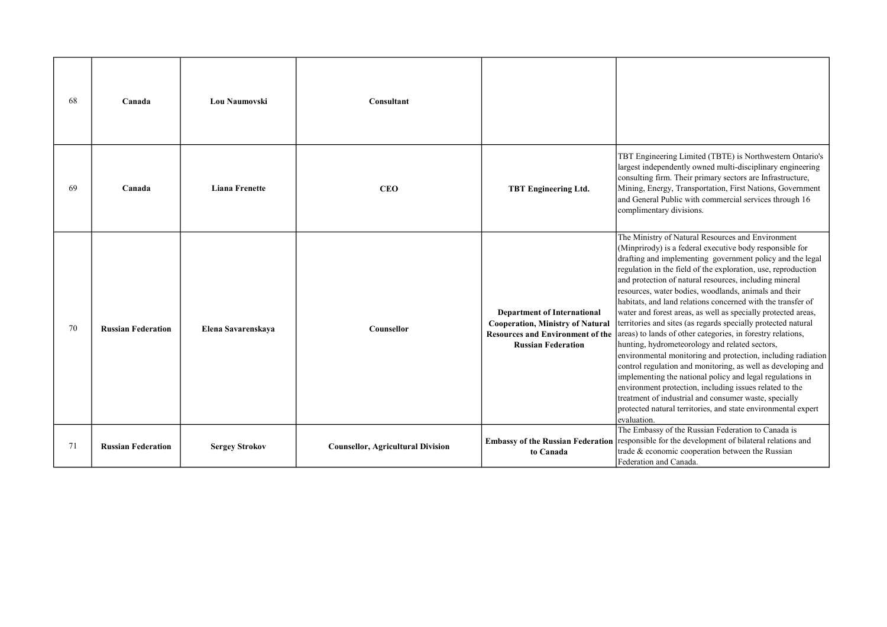| -68 | Canada                    | <b>Lou Naumovski</b>  | Consultant                               |                                                                                                                                                       |                                                                                                                                                                                                                                                                                                                                                                                                                                                                                                                                                                                                                                                                                                                                                                                                                                                                                                                                                                                                                                                                                   |
|-----|---------------------------|-----------------------|------------------------------------------|-------------------------------------------------------------------------------------------------------------------------------------------------------|-----------------------------------------------------------------------------------------------------------------------------------------------------------------------------------------------------------------------------------------------------------------------------------------------------------------------------------------------------------------------------------------------------------------------------------------------------------------------------------------------------------------------------------------------------------------------------------------------------------------------------------------------------------------------------------------------------------------------------------------------------------------------------------------------------------------------------------------------------------------------------------------------------------------------------------------------------------------------------------------------------------------------------------------------------------------------------------|
| -69 | Canada                    | <b>Liana Frenette</b> | <b>CEO</b>                               | <b>TBT Engineering Ltd.</b>                                                                                                                           | TBT Engineering Limited (TBTE) is Northwestern Ontario's<br>largest independently owned multi-disciplinary engineering<br>consulting firm. Their primary sectors are Infrastructure,<br>Mining, Energy, Transportation, First Nations, Government<br>and General Public with commercial services through 16<br>complimentary divisions.                                                                                                                                                                                                                                                                                                                                                                                                                                                                                                                                                                                                                                                                                                                                           |
| 70  | <b>Russian Federation</b> | Elena Savarenskaya    | Counsellor                               | <b>Department of International</b><br><b>Cooperation, Ministry of Natural</b><br><b>Resources and Environment of the</b><br><b>Russian Federation</b> | The Ministry of Natural Resources and Environment<br>(Minprirody) is a federal executive body responsible for<br>drafting and implementing government policy and the legal<br>regulation in the field of the exploration, use, reproduction<br>and protection of natural resources, including mineral<br>resources, water bodies, woodlands, animals and their<br>habitats, and land relations concerned with the transfer of<br>water and forest areas, as well as specially protected areas,<br>territories and sites (as regards specially protected natural<br>areas) to lands of other categories, in forestry relations,<br>hunting, hydrometeorology and related sectors,<br>environmental monitoring and protection, including radiation<br>control regulation and monitoring, as well as developing and<br>implementing the national policy and legal regulations in<br>environment protection, including issues related to the<br>treatment of industrial and consumer waste, specially<br>protected natural territories, and state environmental expert<br>evaluation. |
| 71  | <b>Russian Federation</b> | <b>Sergey Strokov</b> | <b>Counsellor, Agricultural Division</b> | <b>Embassy of the Russian Federation</b><br>to Canada                                                                                                 | The Embassy of the Russian Federation to Canada is<br>responsible for the development of bilateral relations and<br>trade & economic cooperation between the Russian<br>Federation and Canada.                                                                                                                                                                                                                                                                                                                                                                                                                                                                                                                                                                                                                                                                                                                                                                                                                                                                                    |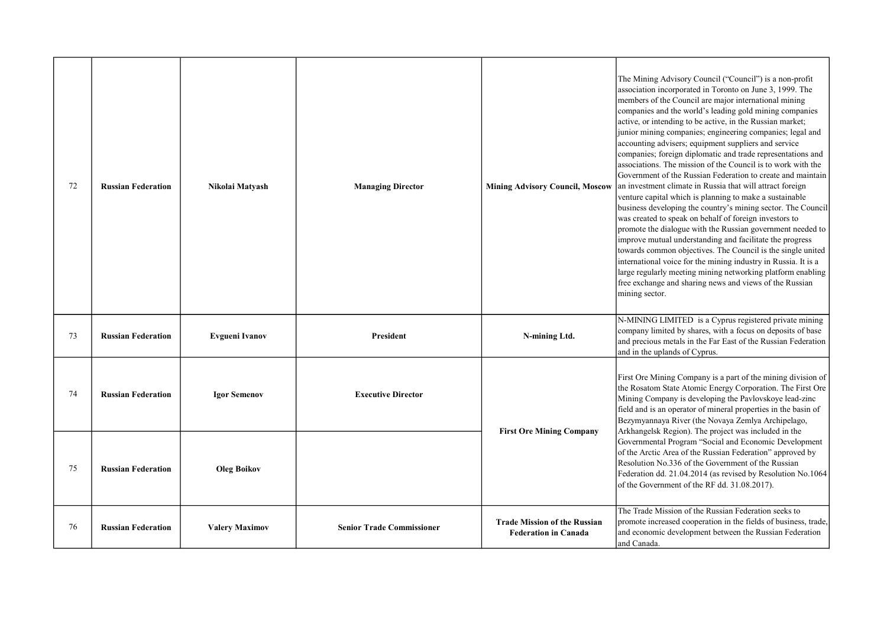| 72 | <b>Russian Federation</b> | Nikolai Matyash       | <b>Managing Director</b>         | <b>Mining Advisory Council, Moscow</b>                             | The Mining Advisory Council ("Council") is a non-profit<br>association incorporated in Toronto on June 3, 1999. The<br>members of the Council are major international mining<br>companies and the world's leading gold mining companies<br>active, or intending to be active, in the Russian market;<br>junior mining companies; engineering companies; legal and<br>accounting advisers; equipment suppliers and service<br>companies; foreign diplomatic and trade representations and<br>associations. The mission of the Council is to work with the<br>Government of the Russian Federation to create and maintain<br>an investment climate in Russia that will attract foreign<br>venture capital which is planning to make a sustainable<br>business developing the country's mining sector. The Council<br>was created to speak on behalf of foreign investors to<br>promote the dialogue with the Russian government needed to<br>improve mutual understanding and facilitate the progress<br>towards common objectives. The Council is the single united<br>international voice for the mining industry in Russia. It is a<br>large regularly meeting mining networking platform enabling<br>free exchange and sharing news and views of the Russian<br>mining sector. |
|----|---------------------------|-----------------------|----------------------------------|--------------------------------------------------------------------|----------------------------------------------------------------------------------------------------------------------------------------------------------------------------------------------------------------------------------------------------------------------------------------------------------------------------------------------------------------------------------------------------------------------------------------------------------------------------------------------------------------------------------------------------------------------------------------------------------------------------------------------------------------------------------------------------------------------------------------------------------------------------------------------------------------------------------------------------------------------------------------------------------------------------------------------------------------------------------------------------------------------------------------------------------------------------------------------------------------------------------------------------------------------------------------------------------------------------------------------------------------------------------|
| 73 | <b>Russian Federation</b> | <b>Evgueni Ivanov</b> | President                        | N-mining Ltd.                                                      | N-MINING LIMITED is a Cyprus registered private mining<br>company limited by shares, with a focus on deposits of base<br>and precious metals in the Far East of the Russian Federation<br>and in the uplands of Cyprus.                                                                                                                                                                                                                                                                                                                                                                                                                                                                                                                                                                                                                                                                                                                                                                                                                                                                                                                                                                                                                                                          |
| 74 | <b>Russian Federation</b> | <b>Igor Semenov</b>   | <b>Executive Director</b>        | <b>First Ore Mining Company</b>                                    | First Ore Mining Company is a part of the mining division of<br>the Rosatom State Atomic Energy Corporation. The First Ore<br>Mining Company is developing the Pavlovskoye lead-zinc<br>field and is an operator of mineral properties in the basin of<br>Bezymyannaya River (the Novaya Zemlya Archipelago,<br>Arkhangelsk Region). The project was included in the<br>Governmental Program "Social and Economic Development<br>of the Arctic Area of the Russian Federation" approved by<br>Resolution No.336 of the Government of the Russian<br>Federation dd. 21.04.2014 (as revised by Resolution No.1064<br>of the Government of the RF dd. 31.08.2017).                                                                                                                                                                                                                                                                                                                                                                                                                                                                                                                                                                                                                  |
| 75 | <b>Russian Federation</b> | <b>Oleg Boikov</b>    |                                  |                                                                    |                                                                                                                                                                                                                                                                                                                                                                                                                                                                                                                                                                                                                                                                                                                                                                                                                                                                                                                                                                                                                                                                                                                                                                                                                                                                                  |
| 76 | <b>Russian Federation</b> | <b>Valery Maximov</b> | <b>Senior Trade Commissioner</b> | <b>Trade Mission of the Russian</b><br><b>Federation in Canada</b> | The Trade Mission of the Russian Federation seeks to<br>promote increased cooperation in the fields of business, trade,<br>and economic development between the Russian Federation<br>and Canada.                                                                                                                                                                                                                                                                                                                                                                                                                                                                                                                                                                                                                                                                                                                                                                                                                                                                                                                                                                                                                                                                                |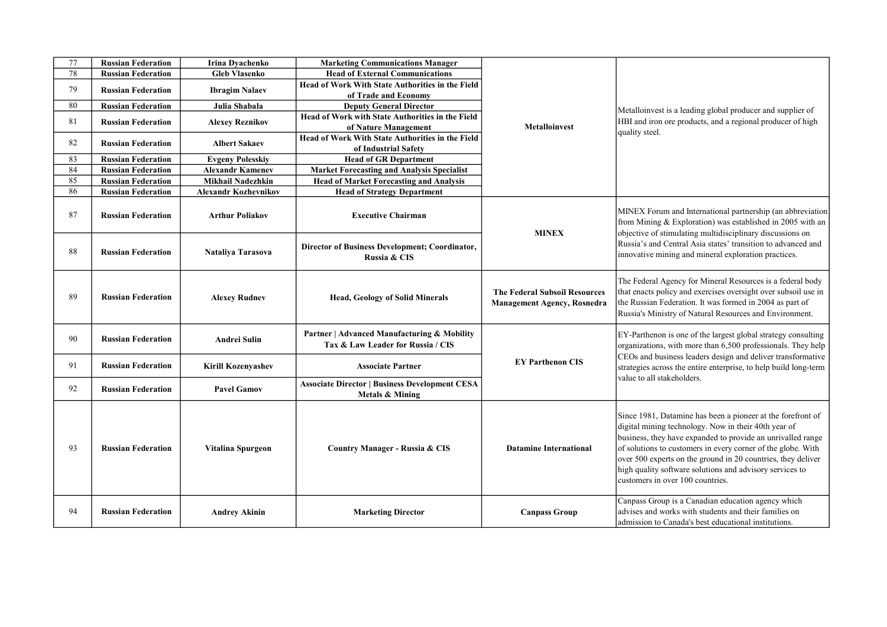| 77 | <b>Russian Federation</b> | <b>Irina Dvachenko</b>      | <b>Marketing Communications Manager</b>                                             |                                                                            |                                                                                                                                                                                                                                                                                                                                                                                                                    |
|----|---------------------------|-----------------------------|-------------------------------------------------------------------------------------|----------------------------------------------------------------------------|--------------------------------------------------------------------------------------------------------------------------------------------------------------------------------------------------------------------------------------------------------------------------------------------------------------------------------------------------------------------------------------------------------------------|
| 78 | <b>Russian Federation</b> | <b>Gleb Vlasenko</b>        | <b>Head of External Communications</b>                                              |                                                                            |                                                                                                                                                                                                                                                                                                                                                                                                                    |
| 79 |                           |                             | <b>Head of Work With State Authorities in the Field</b>                             |                                                                            |                                                                                                                                                                                                                                                                                                                                                                                                                    |
|    | <b>Russian Federation</b> | <b>Ibragim Nalaev</b>       | of Trade and Economy                                                                |                                                                            |                                                                                                                                                                                                                                                                                                                                                                                                                    |
| 80 | <b>Russian Federation</b> | Julia Shabala               | <b>Deputy General Director</b>                                                      | <b>Metalloinvest</b>                                                       | Metalloinvest is a leading global producer and supplier of<br>HBI and iron ore products, and a regional producer of high<br>quality steel.                                                                                                                                                                                                                                                                         |
| 81 | <b>Russian Federation</b> |                             | <b>Head of Work with State Authorities in the Field</b>                             |                                                                            |                                                                                                                                                                                                                                                                                                                                                                                                                    |
|    |                           | <b>Alexey Reznikov</b>      | of Nature Management                                                                |                                                                            |                                                                                                                                                                                                                                                                                                                                                                                                                    |
| 82 | <b>Russian Federation</b> | <b>Albert Sakaev</b>        | Head of Work With State Authorities in the Field                                    |                                                                            |                                                                                                                                                                                                                                                                                                                                                                                                                    |
|    |                           |                             | of Industrial Safety                                                                |                                                                            |                                                                                                                                                                                                                                                                                                                                                                                                                    |
| 83 | <b>Russian Federation</b> | <b>Evgeny Polesskiy</b>     | <b>Head of GR Department</b>                                                        |                                                                            |                                                                                                                                                                                                                                                                                                                                                                                                                    |
| 84 | <b>Russian Federation</b> | <b>Alexandr Kamenev</b>     | <b>Market Forecasting and Analysis Specialist</b>                                   |                                                                            |                                                                                                                                                                                                                                                                                                                                                                                                                    |
| 85 | <b>Russian Federation</b> | Mikhail Nadezhkin           | <b>Head of Market Forecasting and Analysis</b>                                      |                                                                            |                                                                                                                                                                                                                                                                                                                                                                                                                    |
| 86 | <b>Russian Federation</b> | <b>Alexandr Kozhevnikov</b> | <b>Head of Strategy Department</b>                                                  |                                                                            |                                                                                                                                                                                                                                                                                                                                                                                                                    |
| 87 | <b>Russian Federation</b> | <b>Arthur Poliakov</b>      | <b>Executive Chairman</b>                                                           | <b>MINEX</b>                                                               | MINEX Forum and International partnership (an abbreviation)<br>from Mining & Exploration) was established in 2005 with an<br>objective of stimulating multidisciplinary discussions on<br>Russia's and Central Asia states' transition to advanced and<br>innovative mining and mineral exploration practices.                                                                                                     |
| 88 | <b>Russian Federation</b> | Nataliya Tarasova           | Director of Business Development; Coordinator,<br>Russia & CIS                      |                                                                            |                                                                                                                                                                                                                                                                                                                                                                                                                    |
| 89 | <b>Russian Federation</b> | <b>Alexey Rudnev</b>        | <b>Head, Geology of Solid Minerals</b>                                              | <b>The Federal Subsoil Resources</b><br><b>Management Agency, Rosnedra</b> | The Federal Agency for Mineral Resources is a federal body<br>that enacts policy and exercises oversight over subsoil use in<br>the Russian Federation. It was formed in 2004 as part of<br>Russia's Ministry of Natural Resources and Environment.                                                                                                                                                                |
| 90 | <b>Russian Federation</b> | <b>Andrei Sulin</b>         | Partner   Advanced Manufacturing & Mobility<br>Tax & Law Leader for Russia / CIS    | <b>EY Parthenon CIS</b>                                                    | EY-Parthenon is one of the largest global strategy consulting<br>organizations, with more than 6,500 professionals. They help<br>CEOs and business leaders design and deliver transformative<br>strategies across the entire enterprise, to help build long-term<br>value to all stakeholders.                                                                                                                     |
| 91 | <b>Russian Federation</b> | <b>Kirill Kozenyashev</b>   | <b>Associate Partner</b>                                                            |                                                                            |                                                                                                                                                                                                                                                                                                                                                                                                                    |
| 92 | <b>Russian Federation</b> | <b>Pavel Gamov</b>          | <b>Associate Director   Business Development CESA</b><br><b>Metals &amp; Mining</b> |                                                                            |                                                                                                                                                                                                                                                                                                                                                                                                                    |
| 93 | <b>Russian Federation</b> | Vitalina Spurgeon           | <b>Country Manager - Russia &amp; CIS</b>                                           | <b>Datamine International</b>                                              | Since 1981, Datamine has been a pioneer at the forefront of<br>digital mining technology. Now in their 40th year of<br>business, they have expanded to provide an unrivalled range<br>of solutions to customers in every corner of the globe. With<br>over 500 experts on the ground in 20 countries, they deliver<br>high quality software solutions and advisory services to<br>customers in over 100 countries. |
| 94 | <b>Russian Federation</b> | <b>Andrey Akinin</b>        | <b>Marketing Director</b>                                                           | <b>Canpass Group</b>                                                       | Canpass Group is a Canadian education agency which<br>advises and works with students and their families on<br>admission to Canada's best educational institutions.                                                                                                                                                                                                                                                |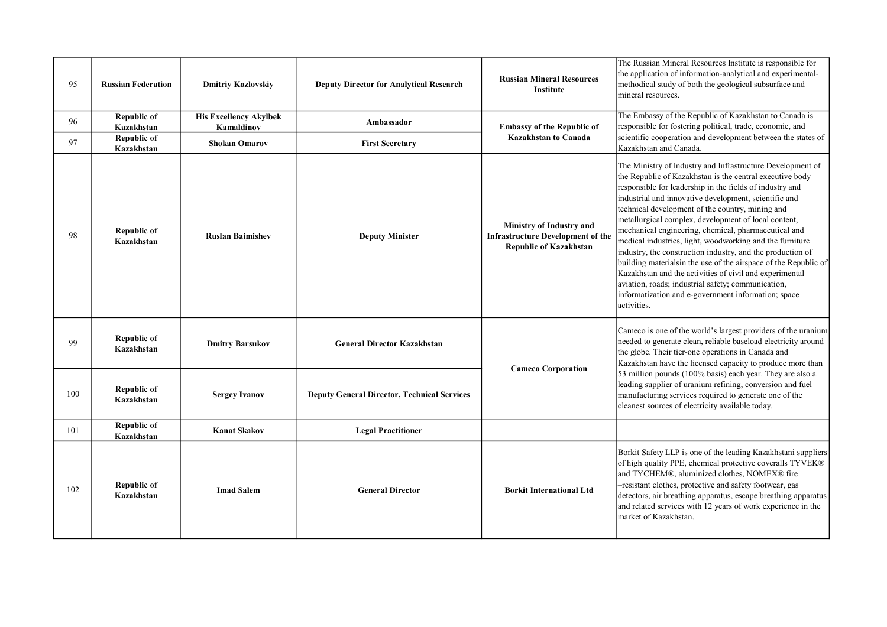| 95  | <b>Russian Federation</b>        | <b>Dmitriy Kozlovskiy</b>                   | <b>Deputy Director for Analytical Research</b>     | <b>Russian Mineral Resources</b><br><b>Institute</b>                                                  | The Russian Mineral Resources Institute is responsible for<br>the application of information-analytical and experimental-<br>methodical study of both the geological subsurface and<br>mineral resources.                                                                                                                                                                                                                                                                                                                                                                                                                                                                                                                                                                                           |
|-----|----------------------------------|---------------------------------------------|----------------------------------------------------|-------------------------------------------------------------------------------------------------------|-----------------------------------------------------------------------------------------------------------------------------------------------------------------------------------------------------------------------------------------------------------------------------------------------------------------------------------------------------------------------------------------------------------------------------------------------------------------------------------------------------------------------------------------------------------------------------------------------------------------------------------------------------------------------------------------------------------------------------------------------------------------------------------------------------|
| 96  | Republic of<br>Kazakhstan        | <b>His Excellency Akylbek</b><br>Kamaldinov | Ambassador                                         | <b>Embassy of the Republic of</b>                                                                     | The Embassy of the Republic of Kazakhstan to Canada is<br>responsible for fostering political, trade, economic, and                                                                                                                                                                                                                                                                                                                                                                                                                                                                                                                                                                                                                                                                                 |
| 97  | Republic of<br>Kazakhstan        | <b>Shokan Omarov</b>                        | <b>First Secretary</b>                             | <b>Kazakhstan to Canada</b>                                                                           | scientific cooperation and development between the states of<br>Kazakhstan and Canada.                                                                                                                                                                                                                                                                                                                                                                                                                                                                                                                                                                                                                                                                                                              |
| 98  | <b>Republic of</b><br>Kazakhstan | <b>Ruslan Baimishev</b>                     | <b>Deputy Minister</b>                             | Ministry of Industry and<br><b>Infrastructure Development of the</b><br><b>Republic of Kazakhstan</b> | The Ministry of Industry and Infrastructure Development of<br>the Republic of Kazakhstan is the central executive body<br>responsible for leadership in the fields of industry and<br>industrial and innovative development, scientific and<br>technical development of the country, mining and<br>metallurgical complex, development of local content,<br>mechanical engineering, chemical, pharmaceutical and<br>medical industries, light, woodworking and the furniture<br>industry, the construction industry, and the production of<br>building materialsin the use of the airspace of the Republic of<br>Kazakhstan and the activities of civil and experimental<br>aviation, roads; industrial safety; communication,<br>informatization and e-government information; space<br>activities. |
| 99  | Republic of<br>Kazakhstan        | <b>Dmitry Barsukov</b>                      | <b>General Director Kazakhstan</b>                 | <b>Cameco Corporation</b>                                                                             | Cameco is one of the world's largest providers of the uranium<br>needed to generate clean, reliable baseload electricity around<br>the globe. Their tier-one operations in Canada and<br>Kazakhstan have the licensed capacity to produce more than                                                                                                                                                                                                                                                                                                                                                                                                                                                                                                                                                 |
| 100 | Republic of<br>Kazakhstan        | <b>Sergey Ivanov</b>                        | <b>Deputy General Director, Technical Services</b> |                                                                                                       | 53 million pounds (100% basis) each year. They are also a<br>leading supplier of uranium refining, conversion and fuel<br>manufacturing services required to generate one of the<br>cleanest sources of electricity available today.                                                                                                                                                                                                                                                                                                                                                                                                                                                                                                                                                                |
| 101 | <b>Republic of</b><br>Kazakhstan | <b>Kanat Skakov</b>                         | <b>Legal Practitioner</b>                          |                                                                                                       |                                                                                                                                                                                                                                                                                                                                                                                                                                                                                                                                                                                                                                                                                                                                                                                                     |
| 102 | <b>Republic of</b><br>Kazakhstan | <b>Imad Salem</b>                           | <b>General Director</b>                            | <b>Borkit International Ltd</b>                                                                       | Borkit Safety LLP is one of the leading Kazakhstani suppliers<br>of high quality PPE, chemical protective coveralls TYVEK®<br>and TYCHEM®, aluminized clothes, NOMEX® fire<br>-resistant clothes, protective and safety footwear, gas<br>detectors, air breathing apparatus, escape breathing apparatus<br>and related services with 12 years of work experience in the<br>market of Kazakhstan.                                                                                                                                                                                                                                                                                                                                                                                                    |